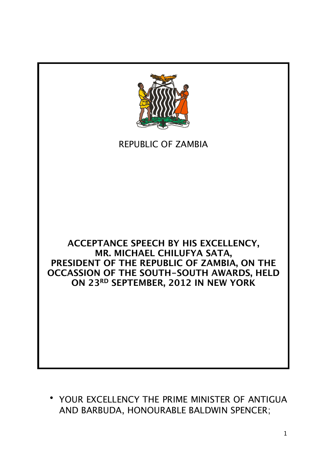

## REPUBLIC OF ZAMBIA

## **ACCEPTANCE SPEECH BY HIS EXCELLENCY, MR. MICHAEL CHILUFYA SATA, PRESIDENT OF THE REPUBLIC OF ZAMBIA, ON THE OCCASSION OF THE SOUTH-SOUTH AWARDS, HELD ON 23RD SEPTEMBER, 2012 IN NEW YORK**

• YOUR EXCELLENCY THE PRIME MINISTER OF ANTIGUA AND BARBUDA, HONOURABLE BALDWIN SPENCER;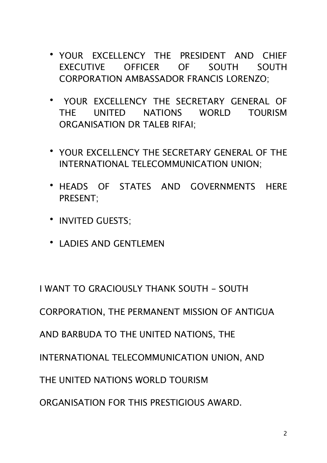- YOUR EXCELLENCY THE PRESIDENT AND CHIEF EXECUTIVE OFFICER OF SOUTH SOUTH CORPORATION AMBASSADOR FRANCIS LORENZO;
- YOUR EXCELLENCY THE SECRETARY GENERAL OF THE UNITED NATIONS WORLD TOURISM ORGANISATION DR TALEB RIFAI;
- YOUR EXCELLENCY THE SECRETARY GENERAL OF THE INTERNATIONAL TELECOMMUNICATION UNION;
- HEADS OF STATES AND GOVERNMENTS HERE PRESENT;
- INVITED GUESTS;
- LADIES AND GENTLEMEN

I WANT TO GRACIOUSLY THANK SOUTH - SOUTH

CORPORATION, THE PERMANENT MISSION OF ANTIGUA

AND BARBUDA TO THE UNITED NATIONS, THE

INTERNATIONAL TELECOMMUNICATION UNION, AND

THE UNITED NATIONS WORLD TOURISM

ORGANISATION FOR THIS PRESTIGIOUS AWARD.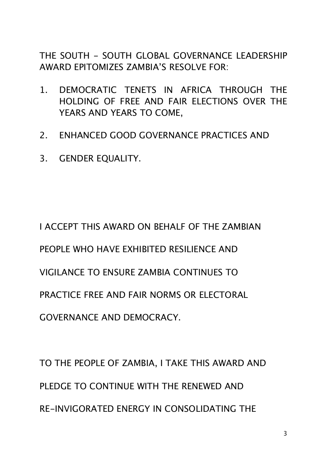THE SOUTH - SOUTH GLOBAL GOVERNANCE LEADERSHIP AWARD EPITOMIZES ZAMBIA'S RESOLVE FOR:

- 1. DEMOCRATIC TENETS IN AFRICA THROUGH THE HOLDING OF FREE AND FAIR ELECTIONS OVER THE YEARS AND YEARS TO COME,
- 2. ENHANCED GOOD GOVERNANCE PRACTICES AND
- 3. GENDER EQUALITY.

I ACCEPT THIS AWARD ON BEHALF OF THE ZAMBIAN PEOPLE WHO HAVE EXHIBITED RESILIENCE AND VIGILANCE TO ENSURE ZAMBIA CONTINUES TO PRACTICE FREE AND FAIR NORMS OR ELECTORAL GOVERNANCE AND DEMOCRACY.

TO THE PEOPLE OF ZAMBIA, I TAKE THIS AWARD AND PLEDGE TO CONTINUE WITH THE RENEWED AND RE-INVIGORATED ENERGY IN CONSOLIDATING THE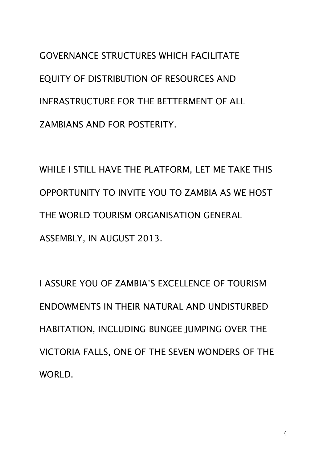GOVERNANCE STRUCTURES WHICH FACILITATE EQUITY OF DISTRIBUTION OF RESOURCES AND INFRASTRUCTURE FOR THE BETTERMENT OF ALL ZAMBIANS AND FOR POSTERITY.

WHILE I STILL HAVE THE PLATFORM, LET ME TAKE THIS OPPORTUNITY TO INVITE YOU TO ZAMBIA AS WE HOST THE WORLD TOURISM ORGANISATION GENERAL ASSEMBLY, IN AUGUST 2013.

I ASSURE YOU OF ZAMBIA'S EXCELLENCE OF TOURISM ENDOWMENTS IN THEIR NATURAL AND UNDISTURBED HABITATION, INCLUDING BUNGEE JUMPING OVER THE VICTORIA FALLS, ONE OF THE SEVEN WONDERS OF THE WORLD.